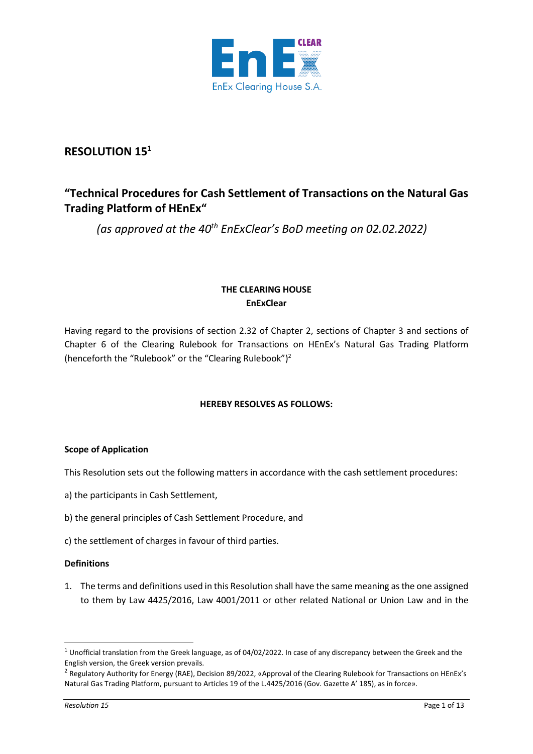

# **RESOLUTION 15<sup>1</sup>**

# **"Technical Procedures for Cash Settlement of Transactions on the Natural Gas Trading Platform of HEnEx"**

*(as approved at the 40th EnExClear's BoD meeting on 02.02.2022)*

# **THE CLEARING HOUSE EnExClear**

Having regard to the provisions of section 2.32 of Chapter 2, sections of Chapter 3 and sections of Chapter 6 of the Clearing Rulebook for Transactions on HEnEx's Natural Gas Trading Platform (henceforth the "Rulebook" or the "Clearing Rulebook") 2

# **HEREBY RESOLVES AS FOLLOWS:**

# **Scope of Application**

This Resolution sets out the following matters in accordance with the cash settlement procedures:

- a) the participants in Cash Settlement,
- b) the general principles of Cash Settlement Procedure, and
- c) the settlement of charges in favour of third parties.

## **Definitions**

1. The terms and definitions used in this Resolution shall have the same meaning as the one assigned to them by Law 4425/2016, Law 4001/2011 or other related National or Union Law and in the

 $1$  Unofficial translation from the Greek language, as of 04/02/2022. In case of any discrepancy between the Greek and the English version, the Greek version prevails.

<sup>&</sup>lt;sup>2</sup> Regulatory Authority for Energy (RAE), Decision 89/2022, «Approval of the Clearing Rulebook for Transactions on HEnEx's Natural Gas Trading Platform, pursuant to Articles 19 of the L.4425/2016 (Gov. Gazette Α' 185), as in force».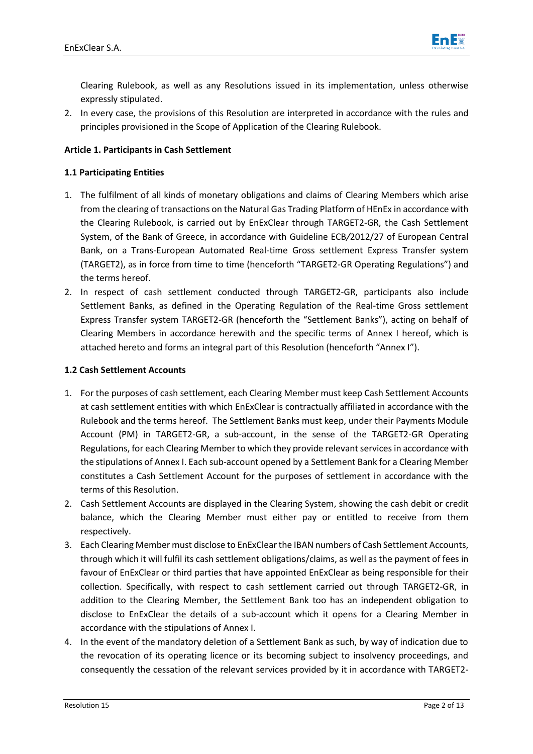

Clearing Rulebook, as well as any Resolutions issued in its implementation, unless otherwise expressly stipulated.

2. In every case, the provisions of this Resolution are interpreted in accordance with the rules and principles provisioned in the Scope of Application of the Clearing Rulebook.

# **Article 1. Participants in Cash Settlement**

# **1.1 Participating Entities**

- 1. The fulfilment of all kinds of monetary obligations and claims of Clearing Members which arise from the clearing of transactions on the Natural Gas Trading Platform of HEnEx in accordance with the Clearing Rulebook, is carried out by EnExClear through TARGET2-GR, the Cash Settlement System, of the Bank of Greece, in accordance with Guideline ECB*/*2012/27 of European Central Bank, on a Trans-European Automated Real-time Gross settlement Express Transfer system (TARGET2), as in force from time to time (henceforth "TARGET2-GR Operating Regulations") and the terms hereof.
- 2. Ιn respect of cash settlement conducted through TARGET2-GR, participants also include Settlement Banks, as defined in the Operating Regulation of the Real-time Gross settlement Express Transfer system TARGET2-GR (henceforth the "Settlement Banks"), acting on behalf of Clearing Members in accordance herewith and the specific terms of Annex I hereof, which is attached hereto and forms an integral part of this Resolution (henceforth "Annex I").

## **1.2 Cash Settlement Accounts**

- 1. For the purposes of cash settlement, each Clearing Member must keep Cash Settlement Accounts at cash settlement entities with which EnExClear is contractually affiliated in accordance with the Rulebook and the terms hereof. The Settlement Banks must keep, under their Payments Module Account (PM) in TARGET2-GR, a sub-account, in the sense of the TARGET2-GR Operating Regulations, for each Clearing Member to which they provide relevant services in accordance with the stipulations of Annex I. Each sub-account opened by a Settlement Bank for a Clearing Member constitutes a Cash Settlement Account for the purposes of settlement in accordance with the terms of this Resolution.
- 2. Cash Settlement Accounts are displayed in the Clearing System, showing the cash debit or credit balance, which the Clearing Member must either pay or entitled to receive from them respectively.
- 3. Each Clearing Member must disclose to EnExClearthe IBAN numbers of Cash Settlement Accounts, through which it will fulfil its cash settlement obligations/claims, as well as the payment of fees in favour of EnExClear or third parties that have appointed EnExClear as being responsible for their collection. Specifically, with respect to cash settlement carried out through TARGET2-GR, in addition to the Clearing Member, the Settlement Bank too has an independent obligation to disclose to EnExClear the details of a sub-account which it opens for a Clearing Member in accordance with the stipulations of Annex I.
- 4. In the event of the mandatory deletion of a Settlement Bank as such, by way of indication due to the revocation of its operating licence or its becoming subject to insolvency proceedings, and consequently the cessation of the relevant services provided by it in accordance with TARGET2-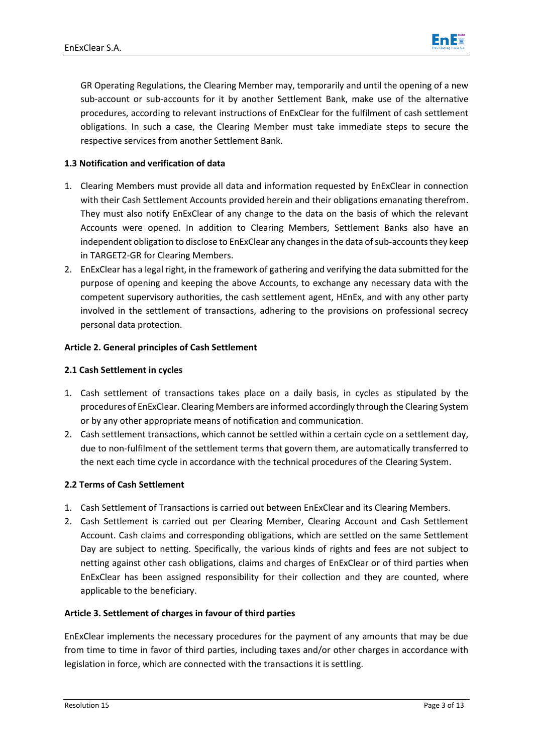

GR Operating Regulations, the Clearing Member may, temporarily and until the opening of a new sub-account or sub-accounts for it by another Settlement Bank, make use of the alternative procedures, according to relevant instructions of EnExClear for the fulfilment of cash settlement obligations. In such a case, the Clearing Member must take immediate steps to secure the respective services from another Settlement Bank.

# **1.3 Notification and verification of data**

- 1. Clearing Members must provide all data and information requested by EnExClear in connection with their Cash Settlement Accounts provided herein and their obligations emanating therefrom. They must also notify EnExClear of any change to the data on the basis of which the relevant Accounts were opened. In addition to Clearing Members, Settlement Banks also have an independent obligation to disclose to EnExClear any changes in the data of sub-accounts they keep in TARGET2-GR for Clearing Members.
- 2. EnExClear has a legal right, in the framework of gathering and verifying the data submitted for the purpose of opening and keeping the above Accounts, to exchange any necessary data with the competent supervisory authorities, the cash settlement agent, HEnEx, and with any other party involved in the settlement of transactions, adhering to the provisions on professional secrecy personal data protection.

## **Article 2. General principles of Cash Settlement**

# **2.1 Cash Settlement in cycles**

- 1. Cash settlement of transactions takes place on a daily basis, in cycles as stipulated by the procedures of EnExClear. Clearing Members are informed accordingly through the Clearing System or by any other appropriate means of notification and communication.
- 2. Cash settlement transactions, which cannot be settled within a certain cycle on a settlement day, due to non-fulfilment of the settlement terms that govern them, are automatically transferred to the next each time cycle in accordance with the technical procedures of the Clearing System.

## **2.2 Terms of Cash Settlement**

- 1. Cash Settlement of Transactions is carried out between EnExClear and its Clearing Members.
- 2. Cash Settlement is carried out per Clearing Member, Clearing Account and Cash Settlement Account. Cash claims and corresponding obligations, which are settled on the same Settlement Day are subject to netting. Specifically, the various kinds of rights and fees are not subject to netting against other cash obligations, claims and charges of EnExClear or of third parties when EnExClear has been assigned responsibility for their collection and they are counted, where applicable to the beneficiary.

## **Article 3. Settlement of charges in favour of third parties**

EnExClear implements the necessary procedures for the payment of any amounts that may be due from time to time in favor of third parties, including taxes and/or other charges in accordance with legislation in force, which are connected with the transactions it is settling.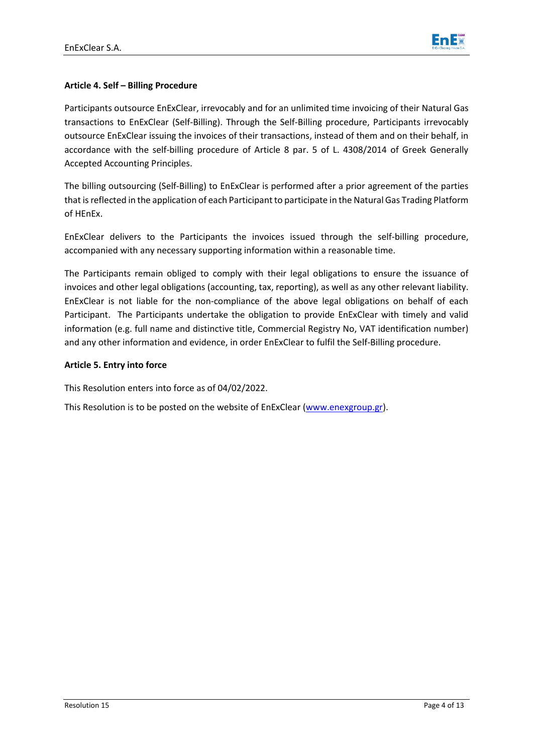

# **Article 4. Self – Billing Procedure**

Participants outsource EnExClear, irrevocably and for an unlimited time invoicing of their Natural Gas transactions to EnExClear (Self-Billing). Through the Self-Billing procedure, Participants irrevocably outsource EnExClear issuing the invoices of their transactions, instead of them and on their behalf, in accordance with the self-billing procedure of Article 8 par. 5 of L. 4308/2014 of Greek Generally Accepted Accounting Principles.

The billing outsourcing (Self-Billing) to EnExClear is performed after a prior agreement of the parties that is reflected in the application of each Participant to participate in the Natural Gas Trading Platform of HEnEx.

EnExClear delivers to the Participants the invoices issued through the self-billing procedure, accompanied with any necessary supporting information within a reasonable time.

The Participants remain obliged to comply with their legal obligations to ensure the issuance of invoices and other legal obligations (accounting, tax, reporting), as well as any other relevant liability. EnExClear is not liable for the non-compliance of the above legal obligations on behalf of each Participant. The Participants undertake the obligation to provide EnExClear with timely and valid information (e.g. full name and distinctive title, Commercial Registry No, VAT identification number) and any other information and evidence, in order EnExClear to fulfil the Self-Billing procedure.

# **Article 5. Entry into force**

This Resolution enters into force as of 04/02/2022.

This Resolution is to be posted on the website of EnExClear [\(www.enexgroup.gr\)](http://www.enexgroup.gr/).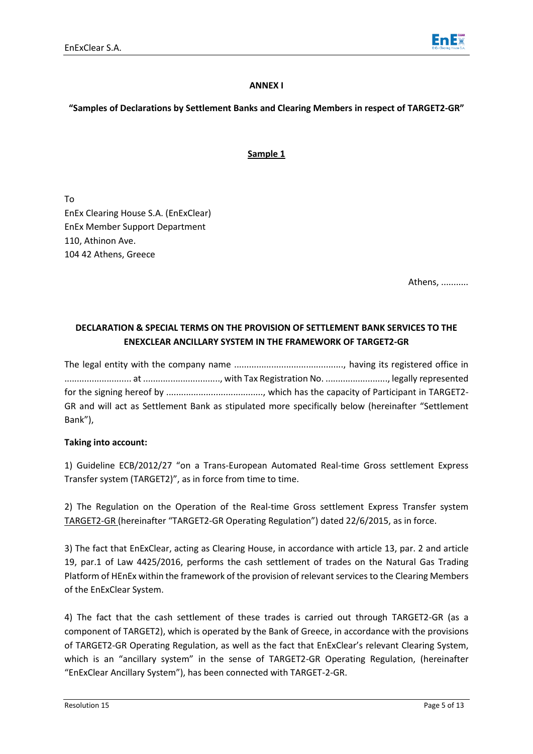

#### **ANNEX I**

# **"Samples of Declarations by Settlement Banks and Clearing Members in respect of TARGET2-GR"**

# **Sample 1**

To EnEx Clearing House S.A. (EnExClear) EnEx Member Support Department 110, Athinon Ave. 104 42 Athens, Greece

Athens, ...........

# **DECLARATION & SPECIAL TERMS ON THE PROVISION OF SETTLEMENT BANK SERVICES TO THE ENEXCLEAR ANCILLARY SYSTEM IN THE FRAMEWORK OF TARGET2-GR**

The legal entity with the company name ............................................, having its registered office in ........................... at ..............................., with Tax Registration No. ........................., legally represented for the signing hereof by ......................................., which has the capacity of Participant in TARGET2- GR and will act as Settlement Bank as stipulated more specifically below (hereinafter "Settlement Bank"),

## **Taking into account:**

1) Guideline ECB/2012/27 "on a Trans-European Automated Real-time Gross settlement Express Transfer system (TARGET2)", as in force from time to time.

2) The Regulation on the Operation of the Real-time Gross settlement Express Transfer system TARGET2-GR (hereinafter "TARGET2-GR Operating Regulation") dated 22/6/2015, as in force.

3) The fact that EnExClear, acting as Clearing House, in accordance with article 13, par. 2 and article 19, par.1 of Law 4425/2016, performs the cash settlement of trades on the Natural Gas Trading Platform of HEnEx within the framework of the provision of relevant services to the Clearing Members of the EnExClear System.

4) The fact that the cash settlement of these trades is carried out through TARGET2-GR (as a component of TARGET2), which is operated by the Bank of Greece, in accordance with the provisions of TARGET2-GR Operating Regulation, as well as the fact that EnExClear's relevant Clearing System, which is an "ancillary system" in the sense of TARGET2-GR Operating Regulation, (hereinafter "EnExClear Ancillary System"), has been connected with TARGET-2-GR.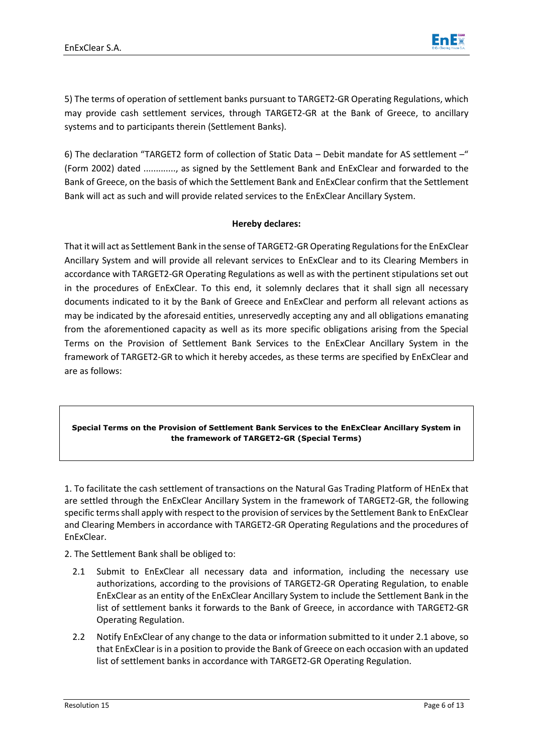

5) The terms of operation of settlement banks pursuant to TARGET2-GR Operating Regulations, which may provide cash settlement services, through TARGET2-GR at the Bank of Greece, to ancillary systems and to participants therein (Settlement Banks).

6) The declaration "TARGET2 form of collection of Static Data – Debit mandate for AS settlement –" (Form 2002) dated ............., as signed by the Settlement Bank and EnExClear and forwarded to the Bank of Greece, on the basis of which the Settlement Bank and EnExClear confirm that the Settlement Bank will act as such and will provide related services to the EnExClear Ancillary System.

## **Hereby declares:**

That it will act as Settlement Bank in the sense of TARGET2-GR Operating Regulations for the EnExClear Ancillary System and will provide all relevant services to EnExClear and to its Clearing Members in accordance with TARGET2-GR Operating Regulations as well as with the pertinent stipulations set out in the procedures of EnExClear. To this end, it solemnly declares that it shall sign all necessary documents indicated to it by the Bank of Greece and EnExClear and perform all relevant actions as may be indicated by the aforesaid entities, unreservedly accepting any and all obligations emanating from the aforementioned capacity as well as its more specific obligations arising from the Special Terms on the Provision of Settlement Bank Services to the EnExClear Ancillary System in the framework of TARGET2-GR to which it hereby accedes, as these terms are specified by EnExClear and are as follows:

## **Special Terms on the Provision of Settlement Bank Services to the EnExClear Ancillary System in the framework of TARGET2-GR (Special Terms)**

1. To facilitate the cash settlement of transactions on the Natural Gas Trading Platform of HEnEx that are settled through the EnExClear Ancillary System in the framework of TARGET2-GR, the following specific terms shall apply with respect to the provision of services by the Settlement Bank to EnExClear and Clearing Members in accordance with TARGET2-GR Operating Regulations and the procedures of EnExClear.

2. The Settlement Bank shall be obliged to:

- 2.1 Submit to EnExClear all necessary data and information, including the necessary use authorizations, according to the provisions of TARGET2-GR Operating Regulation, to enable EnExClear as an entity of the EnExClear Ancillary System to include the Settlement Bank in the list of settlement banks it forwards to the Bank of Greece, in accordance with TARGET2-GR Operating Regulation.
- 2.2 Notify EnExClear of any change to the data or information submitted to it under 2.1 above, so that EnExClear is in a position to provide the Bank of Greece on each occasion with an updated list of settlement banks in accordance with TARGET2-GR Operating Regulation.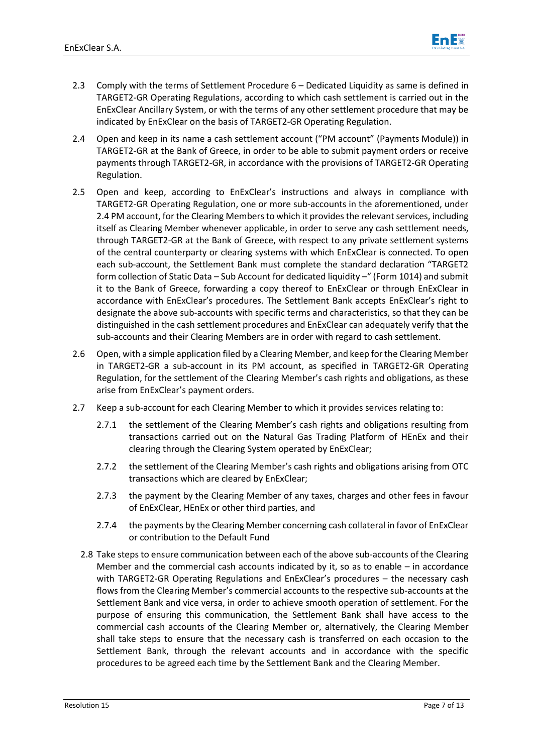

- 2.3 Comply with the terms of Settlement Procedure 6 Dedicated Liquidity as same is defined in TARGET2-GR Operating Regulations, according to which cash settlement is carried out in the EnExClear Ancillary System, or with the terms of any other settlement procedure that may be indicated by EnExClear on the basis of TARGET2-GR Operating Regulation.
- 2.4 Open and keep in its name a cash settlement account ("PM account" (Payments Module)) in TARGET2-GR at the Bank of Greece, in order to be able to submit payment orders or receive payments through TARGET2-GR, in accordance with the provisions of TARGET2-GR Operating Regulation.
- 2.5 Open and keep, according to EnExClear's instructions and always in compliance with TARGET2-GR Operating Regulation, one or more sub-accounts in the aforementioned, under 2.4 PM account, for the Clearing Members to which it provides the relevant services, including itself as Clearing Member whenever applicable, in order to serve any cash settlement needs, through TARGET2-GR at the Bank of Greece, with respect to any private settlement systems of the central counterparty or clearing systems with which EnExClear is connected. To open each sub-account, the Settlement Bank must complete the standard declaration "TARGET2 form collection of Static Data – Sub Account for dedicated liquidity – " (Form 1014) and submit it to the Bank of Greece, forwarding a copy thereof to EnExClear or through EnExClear in accordance with EnExClear's procedures. The Settlement Bank accepts EnExClear's right to designate the above sub-accounts with specific terms and characteristics, so that they can be distinguished in the cash settlement procedures and EnExClear can adequately verify that the sub-accounts and their Clearing Members are in order with regard to cash settlement.
- 2.6 Open, with a simple application filed by a Clearing Member, and keep forthe Clearing Member in TARGET2-GR a sub-account in its PM account, as specified in TARGET2-GR Operating Regulation, for the settlement of the Clearing Member's cash rights and obligations, as these arise from EnExClear's payment orders.
- 2.7 Keep a sub-account for each Clearing Member to which it provides services relating to:
	- 2.7.1 the settlement of the Clearing Member's cash rights and obligations resulting from transactions carried out on the Natural Gas Trading Platform of HEnEx and their clearing through the Clearing System operated by EnExClear;
	- 2.7.2 the settlement of the Clearing Member's cash rights and obligations arising from OTC transactions which are cleared by EnExClear;
	- 2.7.3 the payment by the Clearing Member of any taxes, charges and other fees in favour of EnExClear, HEnEx or other third parties, and
	- 2.7.4 the payments by the Clearing Member concerning cash collateral in favor of EnExClear or contribution to the Default Fund
	- 2.8 Take steps to ensure communication between each of the above sub-accounts of the Clearing Member and the commercial cash accounts indicated by it, so as to enable – in accordance with TARGET2-GR Operating Regulations and EnExClear's procedures – the necessary cash flows from the Clearing Member's commercial accounts to the respective sub-accounts at the Settlement Bank and vice versa, in order to achieve smooth operation of settlement. For the purpose of ensuring this communication, the Settlement Bank shall have access to the commercial cash accounts of the Clearing Member or, alternatively, the Clearing Member shall take steps to ensure that the necessary cash is transferred on each occasion to the Settlement Bank, through the relevant accounts and in accordance with the specific procedures to be agreed each time by the Settlement Bank and the Clearing Member.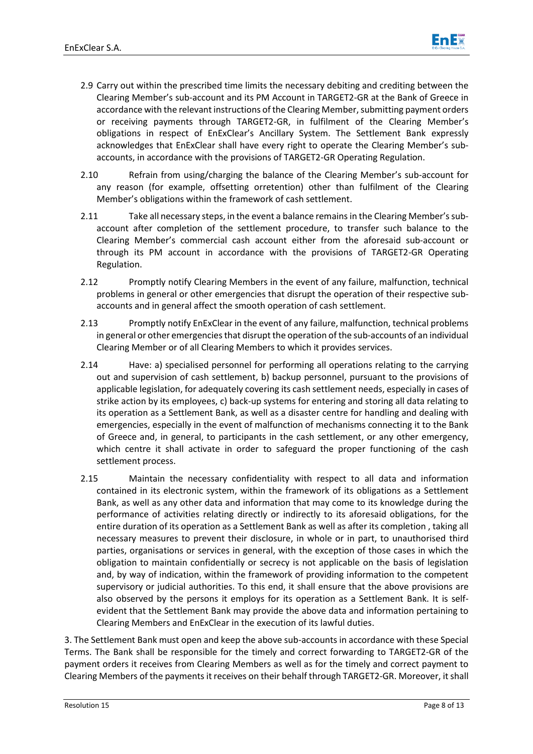

- 2.9 Carry out within the prescribed time limits the necessary debiting and crediting between the Clearing Member's sub-account and its PM Account in TARGET2-GR at the Bank of Greece in accordance with the relevant instructions of the Clearing Member, submitting payment orders or receiving payments through TARGET2-GR, in fulfilment of the Clearing Member's obligations in respect of EnExClear's Ancillary System. The Settlement Bank expressly acknowledges that EnExClear shall have every right to operate the Clearing Member's subaccounts, in accordance with the provisions of TARGET2-GR Operating Regulation.
- 2.10 Refrain from using/charging the balance of the Clearing Member's sub-account for any reason (for example, offsetting orretention) other than fulfilment of the Clearing Member's obligations within the framework of cash settlement.
- 2.11 Take all necessary steps, in the event a balance remains in the Clearing Member's subaccount after completion of the settlement procedure, to transfer such balance to the Clearing Member's commercial cash account either from the aforesaid sub-account or through its PM account in accordance with the provisions of TARGET2-GR Operating Regulation.
- 2.12 Promptly notify Clearing Members in the event of any failure, malfunction, technical problems in general or other emergencies that disrupt the operation of their respective subaccounts and in general affect the smooth operation of cash settlement.
- 2.13 Promptly notify EnExClear in the event of any failure, malfunction, technical problems in general or other emergencies that disrupt the operation of the sub-accounts of an individual Clearing Member or of all Clearing Members to which it provides services.
- 2.14 Have: a) specialised personnel for performing all operations relating to the carrying out and supervision of cash settlement, b) backup personnel, pursuant to the provisions of applicable legislation, for adequately covering its cash settlement needs, especially in cases of strike action by its employees, c) back-up systems for entering and storing all data relating to its operation as a Settlement Bank, as well as a disaster centre for handling and dealing with emergencies, especially in the event of malfunction of mechanisms connecting it to the Bank of Greece and, in general, to participants in the cash settlement, or any other emergency, which centre it shall activate in order to safeguard the proper functioning of the cash settlement process.
- 2.15 Maintain the necessary confidentiality with respect to all data and information contained in its electronic system, within the framework of its obligations as a Settlement Bank, as well as any other data and information that may come to its knowledge during the performance of activities relating directly or indirectly to its aforesaid obligations, for the entire duration of its operation as a Settlement Bank as well as after its completion , taking all necessary measures to prevent their disclosure, in whole or in part, to unauthorised third parties, organisations or services in general, with the exception of those cases in which the obligation to maintain confidentially or secrecy is not applicable on the basis of legislation and, by way of indication, within the framework of providing information to the competent supervisory or judicial authorities. To this end, it shall ensure that the above provisions are also observed by the persons it employs for its operation as a Settlement Bank. It is selfevident that the Settlement Bank may provide the above data and information pertaining to Clearing Members and EnExClear in the execution of its lawful duties.

3. The Settlement Bank must open and keep the above sub-accounts in accordance with these Special Terms. The Bank shall be responsible for the timely and correct forwarding to TARGET2-GR of the payment orders it receives from Clearing Members as well as for the timely and correct payment to Clearing Members of the payments it receives on their behalf through TARGET2-GR. Moreover, it shall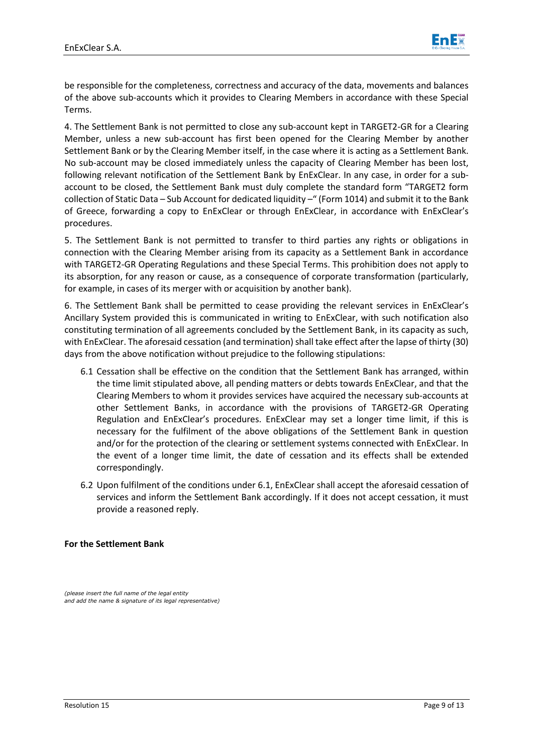

be responsible for the completeness, correctness and accuracy of the data, movements and balances of the above sub-accounts which it provides to Clearing Members in accordance with these Special Terms.

4. The Settlement Bank is not permitted to close any sub-account kept in TARGET2-GR for a Clearing Member, unless a new sub-account has first been opened for the Clearing Member by another Settlement Bank or by the Clearing Member itself, in the case where it is acting as a Settlement Bank. No sub-account may be closed immediately unless the capacity of Clearing Member has been lost, following relevant notification of the Settlement Bank by EnExClear. In any case, in order for a subaccount to be closed, the Settlement Bank must duly complete the standard form "TARGET2 form collection of Static Data – Sub Account for dedicated liquidity –" (Form 1014) and submit it to the Bank of Greece, forwarding a copy to EnExClear or through EnExClear, in accordance with EnExClear's procedures.

5. The Settlement Bank is not permitted to transfer to third parties any rights or obligations in connection with the Clearing Member arising from its capacity as a Settlement Bank in accordance with TARGET2-GR Operating Regulations and these Special Terms. This prohibition does not apply to its absorption, for any reason or cause, as a consequence of corporate transformation (particularly, for example, in cases of its merger with or acquisition by another bank).

6. The Settlement Bank shall be permitted to cease providing the relevant services in EnExClear's Ancillary System provided this is communicated in writing to EnExClear, with such notification also constituting termination of all agreements concluded by the Settlement Bank, in its capacity as such, with EnExClear. The aforesaid cessation (and termination) shall take effect after the lapse of thirty (30) days from the above notification without prejudice to the following stipulations:

- 6.1 Cessation shall be effective on the condition that the Settlement Bank has arranged, within the time limit stipulated above, all pending matters or debts towards EnExClear, and that the Clearing Members to whom it provides services have acquired the necessary sub-accounts at other Settlement Banks, in accordance with the provisions of TARGET2-GR Operating Regulation and EnExClear's procedures. EnExClear may set a longer time limit, if this is necessary for the fulfilment of the above obligations of the Settlement Bank in question and/or for the protection of the clearing or settlement systems connected with EnExClear. In the event of a longer time limit, the date of cessation and its effects shall be extended correspondingly.
- 6.2 Upon fulfilment of the conditions under 6.1, EnExClear shall accept the aforesaid cessation of services and inform the Settlement Bank accordingly. If it does not accept cessation, it must provide a reasoned reply.

#### **For the Settlement Bank**

*(please insert the full name of the legal entity and add the name & signature of its legal representative)*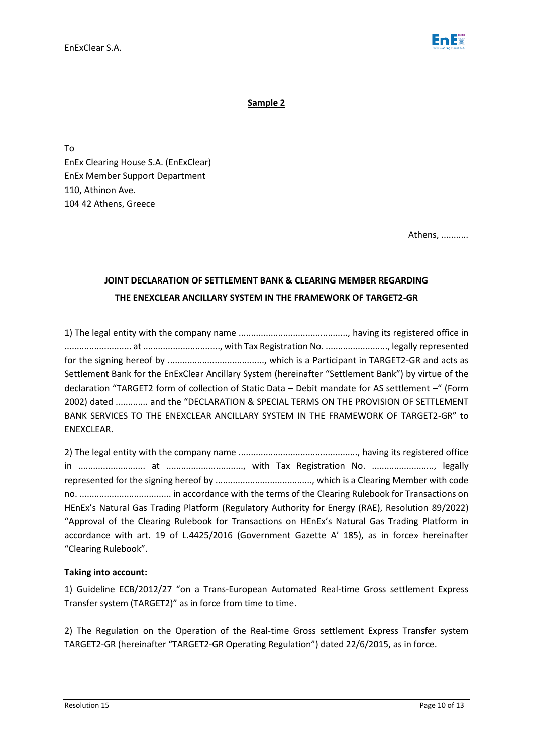

**Sample 2**

To EnEx Clearing House S.A. (EnExClear) EnEx Member Support Department 110, Athinon Ave. 104 42 Athens, Greece

Athens, ...........

# **JOINT DECLARATION OF SETTLEMENT BANK & CLEARING MEMBER REGARDING THE ENEXCLEAR ANCILLARY SYSTEM IN THE FRAMEWORK OF TARGET2-GR**

1) The legal entity with the company name ............................................, having its registered office in ........................... at ..............................., with Tax Registration No. ........................., legally represented for the signing hereof by ......................................., which is a Participant in TARGET2-GR and acts as Settlement Bank for the EnExClear Ancillary System (hereinafter "Settlement Bank") by virtue of the declaration "TARGET2 form of collection of Static Data – Debit mandate for AS settlement –" (Form 2002) dated ............. and the "DECLARATION & SPECIAL TERMS ON THE PROVISION OF SETTLEMENT BANK SERVICES TO THE ENEXCLEAR ANCILLARY SYSTEM IN THE FRAMEWORK OF TARGET2-GR" to ENEXCLEAR.

2) The legal entity with the company name ................................................, having its registered office in ........................... at ..............................., with Tax Registration No. ........................., legally represented for the signing hereof by ......................................., which is a Clearing Member with code no. ..................................... in accordance with the terms of the Clearing Rulebook for Transactions on HEnEx's Natural Gas Trading Platform (Regulatory Authority for Energy (RAE), Resolution 89/2022) "Approval of the Clearing Rulebook for Transactions on HEnEx's Natural Gas Trading Platform in accordance with art. 19 of L.4425/2016 (Government Gazette Α' 185), as in force» hereinafter "Clearing Rulebook".

## **Taking into account:**

1) Guideline ECB/2012/27 "on a Trans-European Automated Real-time Gross settlement Express Transfer system (TARGET2)" as in force from time to time.

2) The Regulation on the Operation of the Real-time Gross settlement Express Transfer system TARGET2-GR (hereinafter "TARGET2-GR Operating Regulation") dated 22/6/2015, as in force.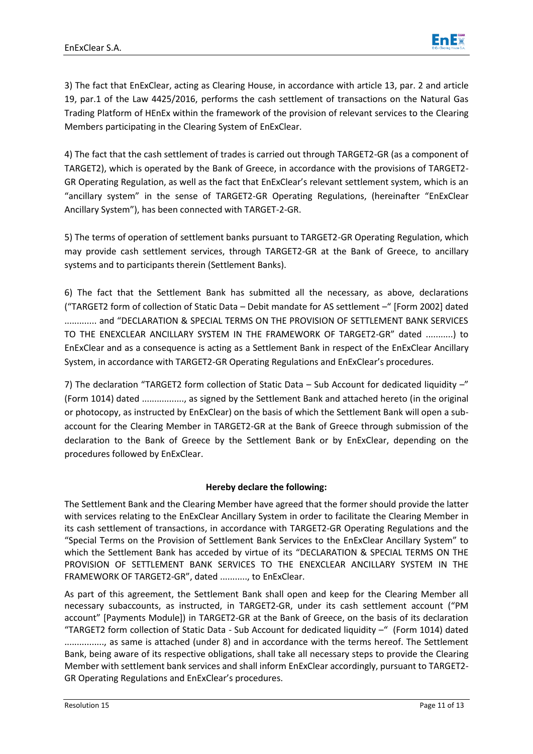

3) The fact that EnExClear, acting as Clearing House, in accordance with article 13, par. 2 and article 19, par.1 of the Law 4425/2016, performs the cash settlement of transactions on the Natural Gas Trading Platform of HEnEx within the framework of the provision of relevant services to the Clearing Members participating in the Clearing System of EnExClear.

4) The fact that the cash settlement of trades is carried out through TARGET2-GR (as a component of TARGET2), which is operated by the Bank of Greece, in accordance with the provisions of TARGET2- GR Operating Regulation, as well as the fact that EnExClear's relevant settlement system, which is an "ancillary system" in the sense of TARGET2-GR Operating Regulations, (hereinafter "EnExClear Ancillary System"), has been connected with TARGET-2-GR.

5) The terms of operation of settlement banks pursuant to TARGET2-GR Operating Regulation, which may provide cash settlement services, through TARGET2-GR at the Bank of Greece, to ancillary systems and to participants therein (Settlement Banks).

6) The fact that the Settlement Bank has submitted all the necessary, as above, declarations ("TARGET2 form of collection of Static Data – Debit mandate for AS settlement –" [Form 2002] dated ............. and "DECLARATION & SPECIAL TERMS ON THE PROVISION OF SETTLEMENT BANK SERVICES TO THE ENEXCLEAR ANCILLARY SYSTEM IN THE FRAMEWORK OF TARGET2-GR" dated ...........) to EnExClear and as a consequence is acting as a Settlement Bank in respect of the EnExClear Ancillary System, in accordance with TARGET2-GR Operating Regulations and EnExClear's procedures.

7) The declaration "TARGET2 form collection of Static Data – Sub Account for dedicated liquidity –" (Form 1014) dated ................., as signed by the Settlement Bank and attached hereto (in the original or photocopy, as instructed by EnExClear) on the basis of which the Settlement Bank will open a subaccount for the Clearing Member in TARGET2-GR at the Bank of Greece through submission of the declaration to the Bank of Greece by the Settlement Bank or by EnExClear, depending on the procedures followed by EnExClear.

# **Hereby declare the following:**

The Settlement Bank and the Clearing Member have agreed that the former should provide the latter with services relating to the EnExClear Ancillary System in order to facilitate the Clearing Member in its cash settlement of transactions, in accordance with TARGET2-GR Operating Regulations and the "Special Terms on the Provision of Settlement Bank Services to the EnExClear Ancillary System" to which the Settlement Bank has acceded by virtue of its "DECLARATION & SPECIAL TERMS ON THE PROVISION OF SETTLEMENT BANK SERVICES TO THE ENEXCLEAR ANCILLARY SYSTEM IN THE FRAMEWORK OF TARGET2-GR", dated ..........., to EnExClear.

As part of this agreement, the Settlement Bank shall open and keep for the Clearing Member all necessary subaccounts, as instructed, in TARGET2-GR, under its cash settlement account ("PM account" [Payments Module]) in TARGET2-GR at the Bank of Greece, on the basis of its declaration "TARGET2 form collection of Static Data - Sub Account for dedicated liquidity –" (Form 1014) dated

................, as same is attached (under 8) and in accordance with the terms hereof. The Settlement Bank, being aware of its respective obligations, shall take all necessary steps to provide the Clearing Member with settlement bank services and shall inform EnExClear accordingly, pursuant to TARGET2- GR Operating Regulations and EnExClear's procedures.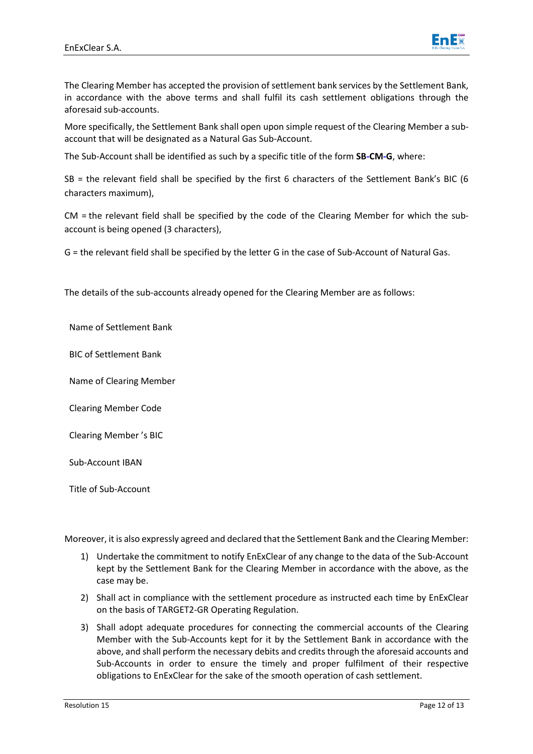

The Clearing Member has accepted the provision of settlement bank services by the Settlement Bank, in accordance with the above terms and shall fulfil its cash settlement obligations through the aforesaid sub-accounts.

More specifically, the Settlement Bank shall open upon simple request of the Clearing Member a subaccount that will be designated as a Natural Gas Sub-Account.

The Sub-Account shall be identified as such by a specific title of the form **SB-CM-G**, where:

SB = the relevant field shall be specified by the first 6 characters of the Settlement Bank's BIC (6 characters maximum),

CM = the relevant field shall be specified by the code of the Clearing Member for which the subaccount is being opened (3 characters),

G = the relevant field shall be specified by the letter G in the case of Sub-Account of Natural Gas.

The details of the sub-accounts already opened for the Clearing Member are as follows:

Name of Settlement Bank

BIC of Settlement Bank

Name of Clearing Member

Clearing Member Code

Clearing Member 's BIC

Sub-Account ΙΒΑΝ

Title of Sub-Account

Moreover, it is also expressly agreed and declared that the Settlement Bank and the Clearing Member:

- 1) Undertake the commitment to notify EnExClear of any change to the data of the Sub-Account kept by the Settlement Bank for the Clearing Member in accordance with the above, as the case may be.
- 2) Shall act in compliance with the settlement procedure as instructed each time by EnExClear on the basis of TARGET2-GR Operating Regulation.
- 3) Shall adopt adequate procedures for connecting the commercial accounts of the Clearing Member with the Sub-Accounts kept for it by the Settlement Bank in accordance with the above, and shall perform the necessary debits and credits through the aforesaid accounts and Sub-Accounts in order to ensure the timely and proper fulfilment of their respective obligations to EnExClear for the sake of the smooth operation of cash settlement.